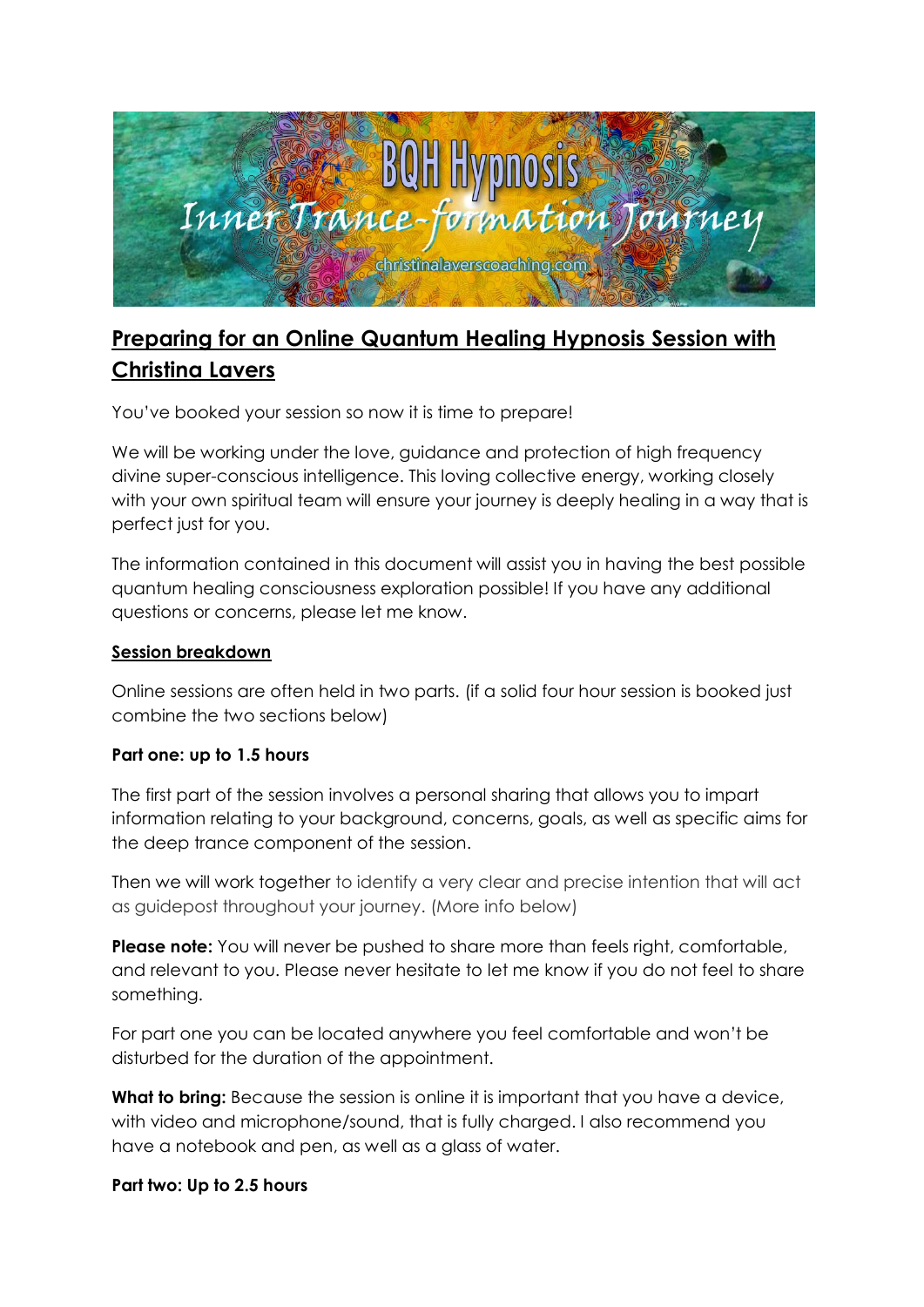

# **Preparing for an Online Quantum Healing Hypnosis Session with Christina Lavers**

You've booked your session so now it is time to prepare!

We will be working under the love, guidance and protection of high frequency divine super-conscious intelligence. This loving collective energy, working closely with your own spiritual team will ensure your journey is deeply healing in a way that is perfect just for you.

The information contained in this document will assist you in having the best possible quantum healing consciousness exploration possible! If you have any additional questions or concerns, please let me know.

# **Session breakdown**

Online sessions are often held in two parts. (if a solid four hour session is booked just combine the two sections below)

# **Part one: up to 1.5 hours**

The first part of the session involves a personal sharing that allows you to impart information relating to your background, concerns, goals, as well as specific aims for the deep trance component of the session.

Then we will work together to identify a very clear and precise intention that will act as guidepost throughout your journey. (More info below)

**Please note:** You will never be pushed to share more than feels right, comfortable, and relevant to you. Please never hesitate to let me know if you do not feel to share something.

For part one you can be located anywhere you feel comfortable and won't be disturbed for the duration of the appointment.

**What to bring:** Because the session is online it is important that you have a device, with video and microphone/sound, that is fully charged. I also recommend you have a notebook and pen, as well as a glass of water.

# **Part two: Up to 2.5 hours**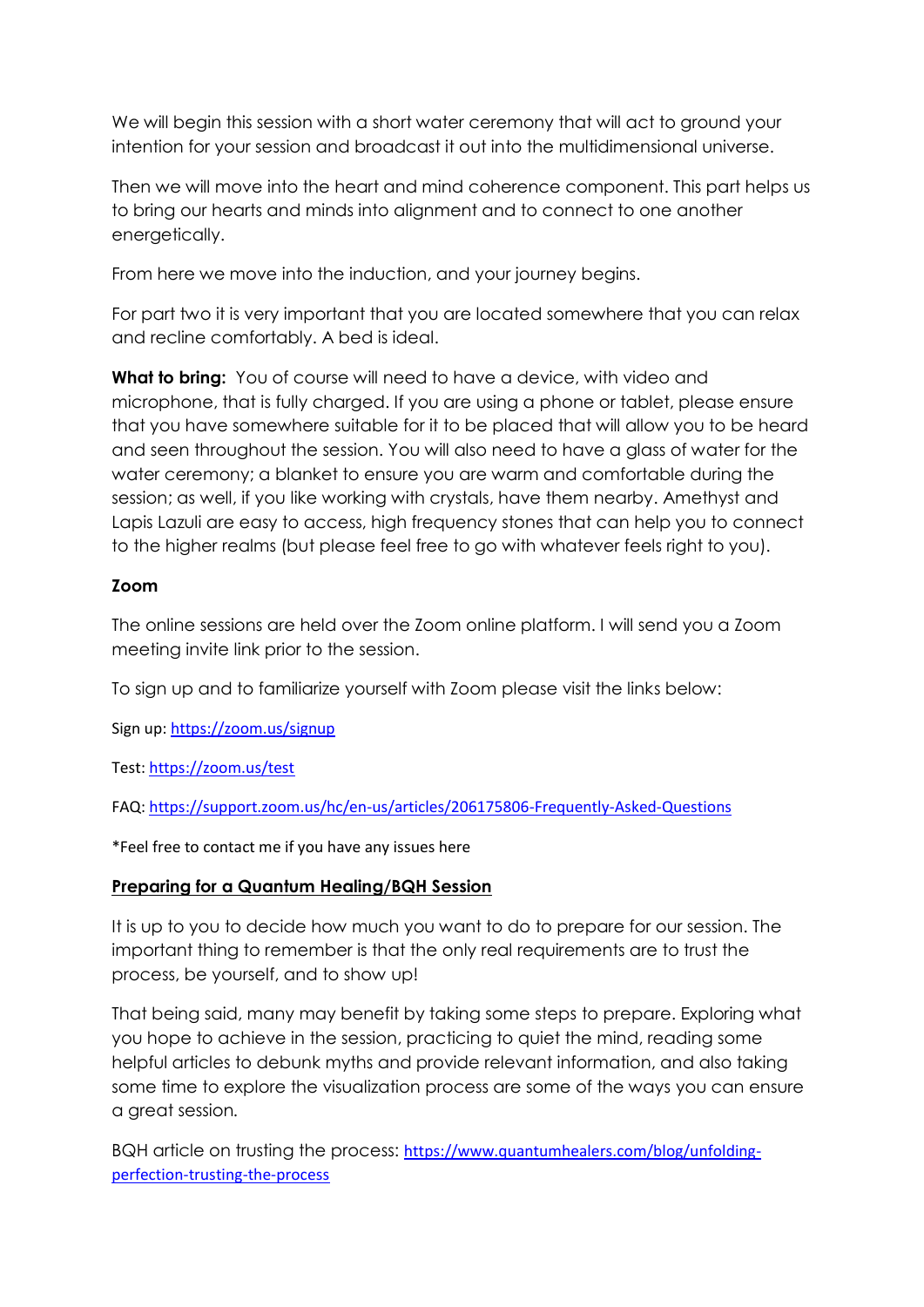We will begin this session with a short water ceremony that will act to ground your intention for your session and broadcast it out into the multidimensional universe.

Then we will move into the heart and mind coherence component. This part helps us to bring our hearts and minds into alignment and to connect to one another energetically.

From here we move into the induction, and your journey begins.

For part two it is very important that you are located somewhere that you can relax and recline comfortably. A bed is ideal.

**What to bring:** You of course will need to have a device, with video and microphone, that is fully charged. If you are using a phone or tablet, please ensure that you have somewhere suitable for it to be placed that will allow you to be heard and seen throughout the session. You will also need to have a glass of water for the water ceremony; a blanket to ensure you are warm and comfortable during the session; as well, if you like working with crystals, have them nearby. Amethyst and Lapis Lazuli are easy to access, high frequency stones that can help you to connect to the higher realms (but please feel free to go with whatever feels right to you).

# **Zoom**

The online sessions are held over the Zoom online platform. I will send you a Zoom meeting invite link prior to the session.

To sign up and to familiarize yourself with Zoom please visit the links below:

Sign up:<https://zoom.us/signup>

Test:<https://zoom.us/test>

FAQ:<https://support.zoom.us/hc/en-us/articles/206175806-Frequently-Asked-Questions>

\*Feel free to contact me if you have any issues here

# **Preparing for a Quantum Healing/BQH Session**

It is up to you to decide how much you want to do to prepare for our session. The important thing to remember is that the only real requirements are to trust the process, be yourself, and to show up!

That being said, many may benefit by taking some steps to prepare. Exploring what you hope to achieve in the session, practicing to quiet the mind, reading some helpful articles to debunk myths and provide relevant information, and also taking some time to explore the visualization process are some of the ways you can ensure a great session*.* 

BQH article on trusting the process: [https://www.quantumhealers.com/blog/unfolding](https://www.quantumhealers.com/blog/unfolding-perfection-trusting-the-process)[perfection-trusting-the-process](https://www.quantumhealers.com/blog/unfolding-perfection-trusting-the-process)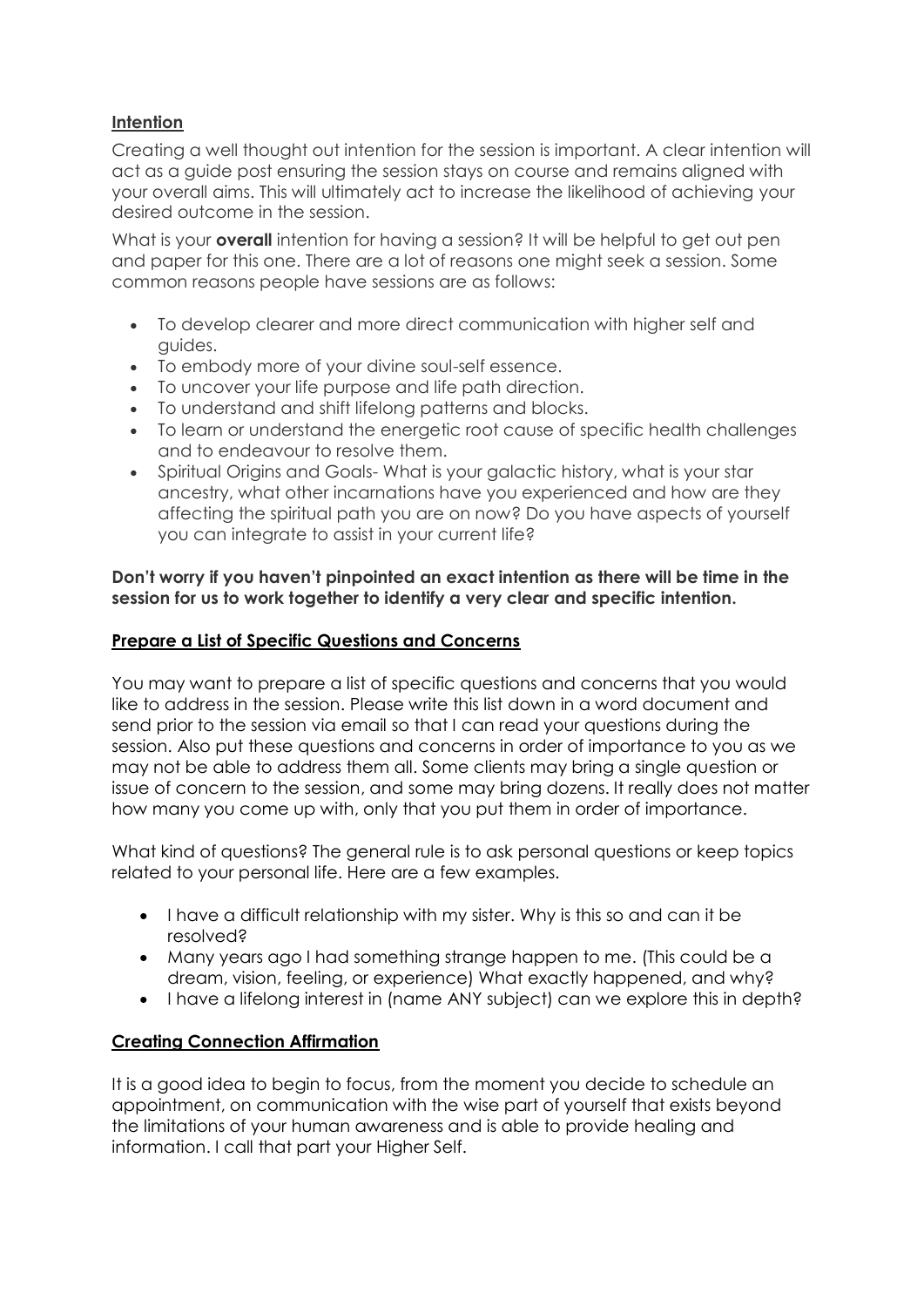# **Intention**

Creating a well thought out intention for the session is important. A clear intention will act as a guide post ensuring the session stays on course and remains aligned with your overall aims. This will ultimately act to increase the likelihood of achieving your desired outcome in the session.

What is your **overall** intention for having a session? It will be helpful to get out pen and paper for this one. There are a lot of reasons one might seek a session. Some common reasons people have sessions are as follows:

- To develop clearer and more direct communication with higher self and guides.
- To embody more of your divine soul-self essence.
- To uncover your life purpose and life path direction.
- To understand and shift lifelong patterns and blocks.
- To learn or understand the energetic root cause of specific health challenges and to endeavour to resolve them.
- Spiritual Origins and Goals- What is your galactic history, what is your star ancestry, what other incarnations have you experienced and how are they affecting the spiritual path you are on now? Do you have aspects of yourself you can integrate to assist in your current life?

#### **Don't worry if you haven't pinpointed an exact intention as there will be time in the session for us to work together to identify a very clear and specific intention.**

# **Prepare a List of Specific Questions and Concerns**

You may want to prepare a list of specific questions and concerns that you would like to address in the session. Please write this list down in a word document and send prior to the session via email so that I can read your questions during the session. Also put these questions and concerns in order of importance to you as we may not be able to address them all. Some clients may bring a single question or issue of concern to the session, and some may bring dozens. It really does not matter how many you come up with, only that you put them in order of importance.

What kind of questions? The general rule is to ask personal questions or keep topics related to your personal life. Here are a few examples.

- I have a difficult relationship with my sister. Why is this so and can it be resolved?
- Many years ago I had something strange happen to me. (This could be a dream, vision, feeling, or experience) What exactly happened, and why?
- I have a lifelong interest in (name ANY subject) can we explore this in depth?

# **Creating Connection Affirmation**

It is a good idea to begin to focus, from the moment you decide to schedule an appointment, on communication with the wise part of yourself that exists beyond the limitations of your human awareness and is able to provide healing and information. I call that part your Higher Self.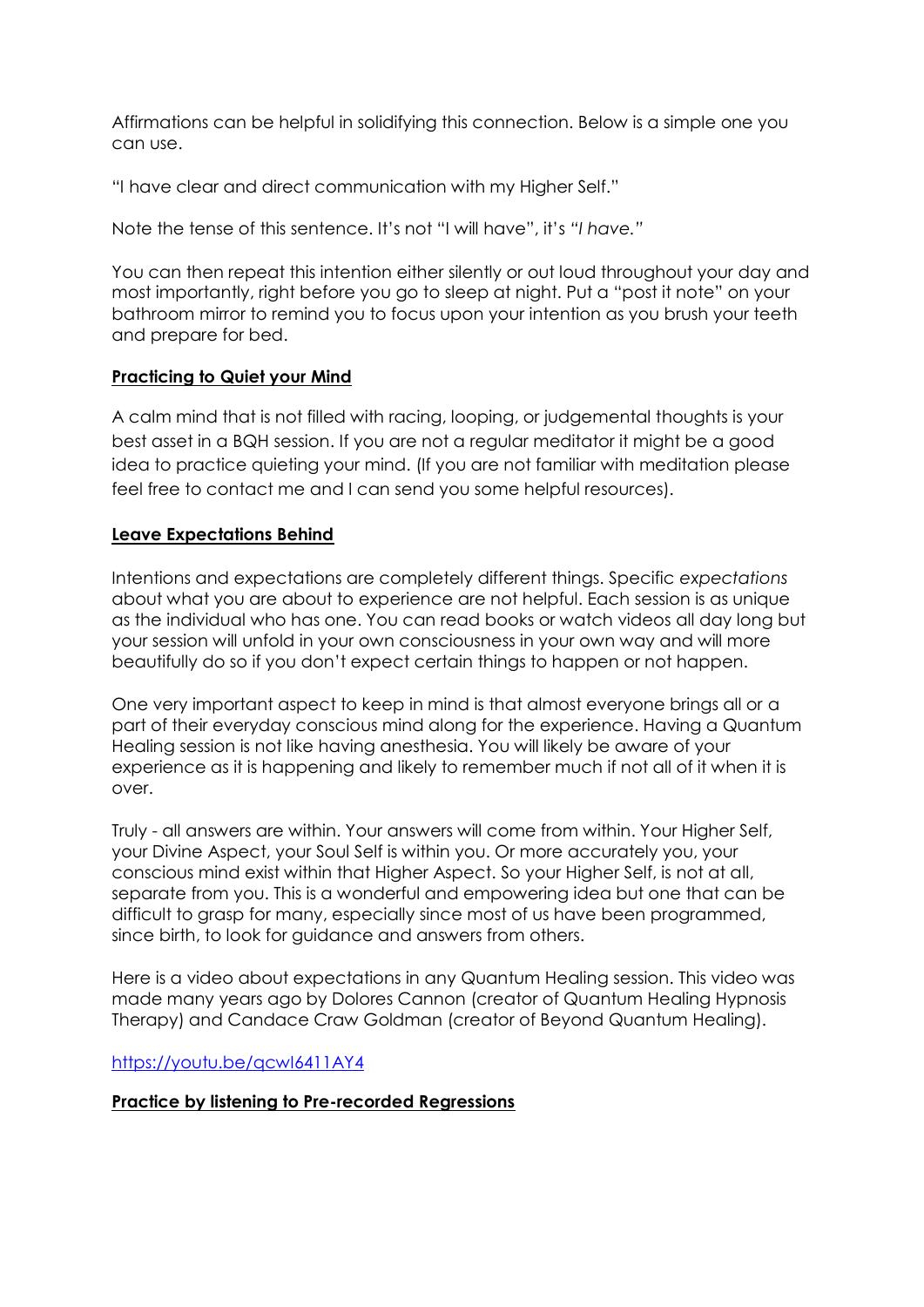Affirmations can be helpful in solidifying this connection. Below is a simple one you can use.

"I have clear and direct communication with my Higher Self."

Note the tense of this sentence. It's not "I will have", it's *"I have."*

You can then repeat this intention either silently or out loud throughout your day and most importantly, right before you go to sleep at night. Put a "post it note" on your bathroom mirror to remind you to focus upon your intention as you brush your teeth and prepare for bed.

# **Practicing to Quiet your Mind**

A calm mind that is not filled with racing, looping, or judgemental thoughts is your best asset in a BQH session. If you are not a regular meditator it might be a good idea to practice quieting your mind. (If you are not familiar with meditation please feel free to contact me and I can send you some helpful resources).

# **Leave Expectations Behind**

Intentions and expectations are completely different things. Specific *expectations*  about what you are about to experience are not helpful. Each session is as unique as the individual who has one. You can read books or watch videos all day long but your session will unfold in your own consciousness in your own way and will more beautifully do so if you don't expect certain things to happen or not happen.

One very important aspect to keep in mind is that almost everyone brings all or a part of their everyday conscious mind along for the experience. Having a Quantum Healing session is not like having anesthesia. You will likely be aware of your experience as it is happening and likely to remember much if not all of it when it is over.

Truly - all answers are within. Your answers will come from within. Your Higher Self, your Divine Aspect, your Soul Self is within you. Or more accurately you, your conscious mind exist within that Higher Aspect. So your Higher Self, is not at all, separate from you. This is a wonderful and empowering idea but one that can be difficult to grasp for many, especially since most of us have been programmed, since birth, to look for guidance and answers from others.

Here is a video about expectations in any Quantum Healing session. This video was made many years ago by Dolores Cannon (creator of Quantum Healing Hypnosis Therapy) and Candace Craw Goldman (creator of Beyond Quantum Healing).

<https://youtu.be/qcwI6411AY4>

# **Practice by listening to Pre-recorded Regressions**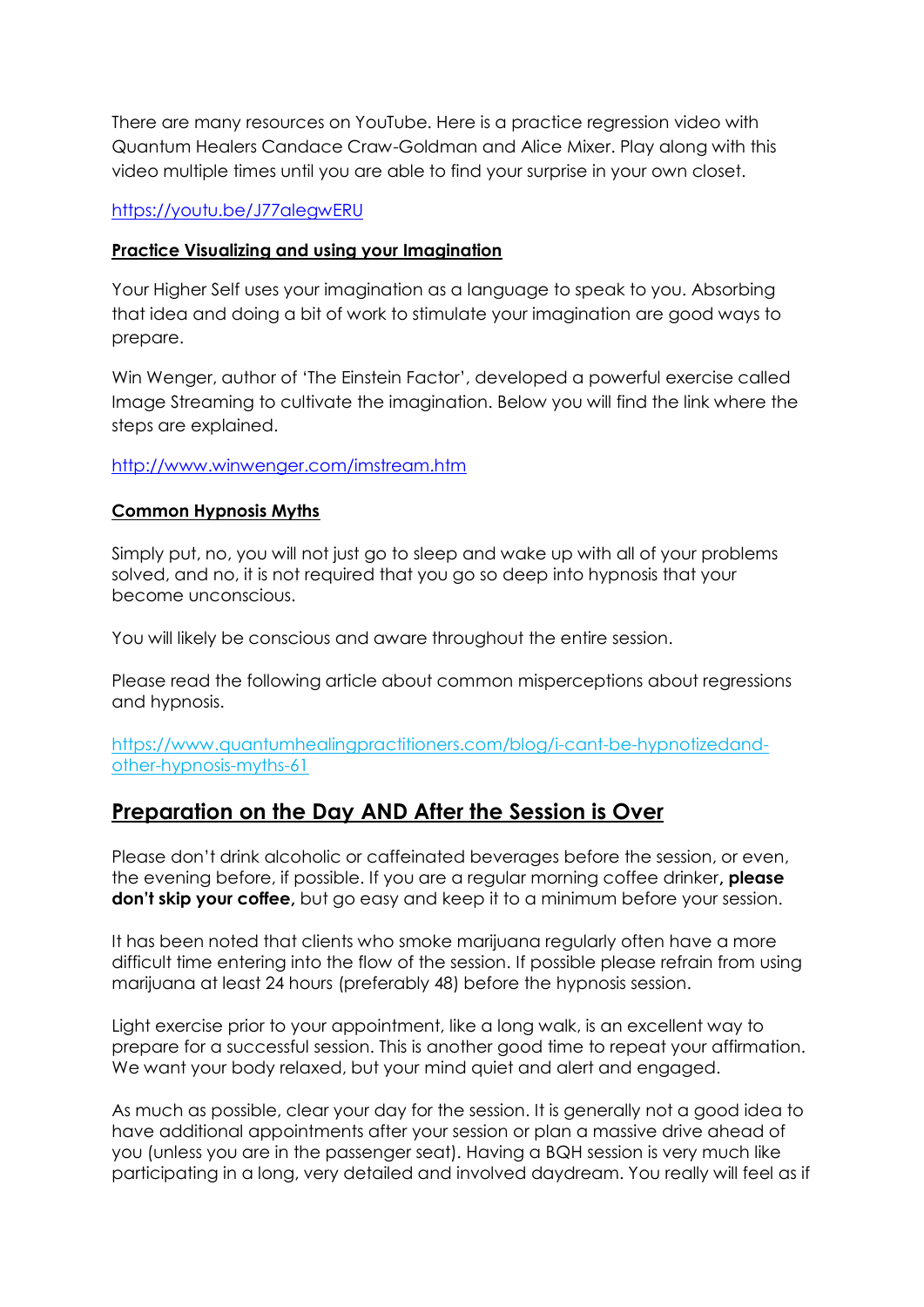There are many resources on YouTube. Here is a practice regression video with Quantum Healers Candace Craw-Goldman and Alice Mixer. Play along with this video multiple times until you are able to find your surprise in your own closet.

# <https://youtu.be/J77alegwERU>

# **Practice Visualizing and using your Imagination**

Your Higher Self uses your imagination as a language to speak to you. Absorbing that idea and doing a bit of work to stimulate your imagination are good ways to prepare.

Win Wenger, author of 'The Einstein Factor', developed a powerful exercise called Image Streaming to cultivate the imagination. Below you will find the link where the steps are explained.

# <http://www.winwenger.com/imstream.htm>

# **Common Hypnosis Myths**

Simply put, no, you will not just go to sleep and wake up with all of your problems solved, and no, it is not required that you go so deep into hypnosis that your become unconscious.

You will likely be conscious and aware throughout the entire session.

Please read the following article about common misperceptions about regressions and hypnosis.

[https://www.quantumhealingpractitioners.com/blog/i-cant-be-hypnotizedand](https://www.quantumhealingpractitioners.com/blog/i-cant-be-hypnotizedand-other-hypnosis-myths-61)[other-hypnosis-myths-61](https://www.quantumhealingpractitioners.com/blog/i-cant-be-hypnotizedand-other-hypnosis-myths-61)

# **Preparation on the Day AND After the Session is Over**

Please don't drink alcoholic or caffeinated beverages before the session, or even, the evening before, if possible. If you are a regular morning coffee drinker**, please don't skip your coffee,** but go easy and keep it to a minimum before your session.

It has been noted that clients who smoke marijuana regularly often have a more difficult time entering into the flow of the session. If possible please refrain from using marijuana at least 24 hours (preferably 48) before the hypnosis session.

Light exercise prior to your appointment, like a long walk, is an excellent way to prepare for a successful session. This is another good time to repeat your affirmation. We want your body relaxed, but your mind quiet and alert and engaged.

As much as possible, clear your day for the session. It is generally not a good idea to have additional appointments after your session or plan a massive drive ahead of you (unless you are in the passenger seat). Having a BQH session is very much like participating in a long, very detailed and involved daydream. You really will feel as if